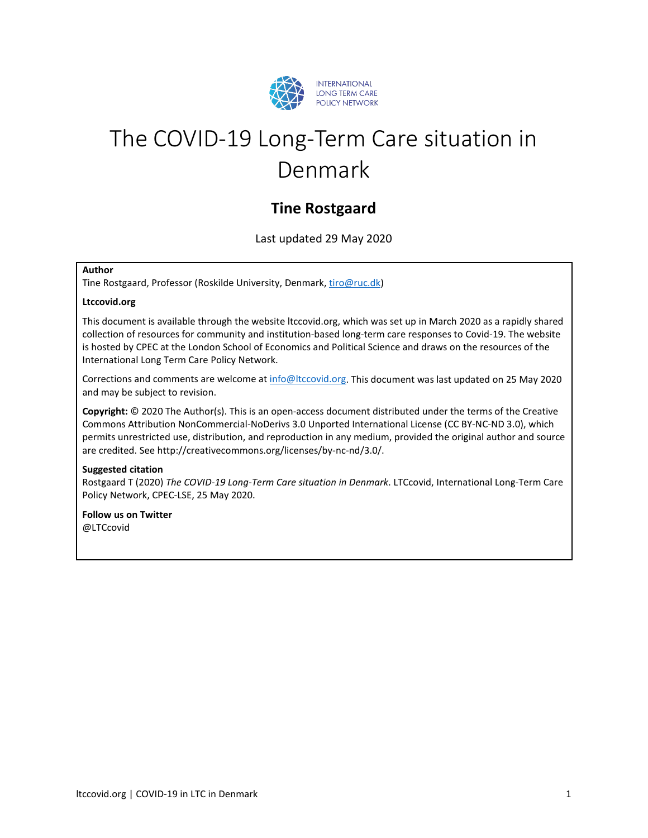

# The COVID-19 Long-Term Care situation in Denmark

## **Tine Rostgaard**

Last updated 29 May 2020

#### **Author**

Tine Rostgaard, Professor (Roskilde University, Denmark, [tiro@ruc.dk\)](mailto:tiro@ruc.dkl)

#### **Ltccovid.org**

This document is available through the website ltccovid.org, which was set up in March 2020 as a rapidly shared collection of resources for community and institution-based long-term care responses to Covid-19. The website is hosted by CPEC at the London School of Economics and Political Science and draws on the resources of the International Long Term Care Policy Network.

Corrections and comments are welcome at [info@ltccovid.org.](mailto:info@ltccovid.org) This document was last updated on 25 May 2020 and may be subject to revision.

**Copyright:** © 2020 The Author(s). This is an open-access document distributed under the terms of the Creative Commons Attribution NonCommercial-NoDerivs 3.0 Unported International License (CC BY-NC-ND 3.0), which permits unrestricted use, distribution, and reproduction in any medium, provided the original author and source are credited. See http://creativecommons.org/licenses/by-nc-nd/3.0/.

#### **Suggested citation**

Rostgaard T (2020) *The COVID-19 Long-Term Care situation in Denmark*. LTCcovid, International Long-Term Care Policy Network, CPEC-LSE, 25 May 2020.

**Follow us on Twitter** @LTCcovid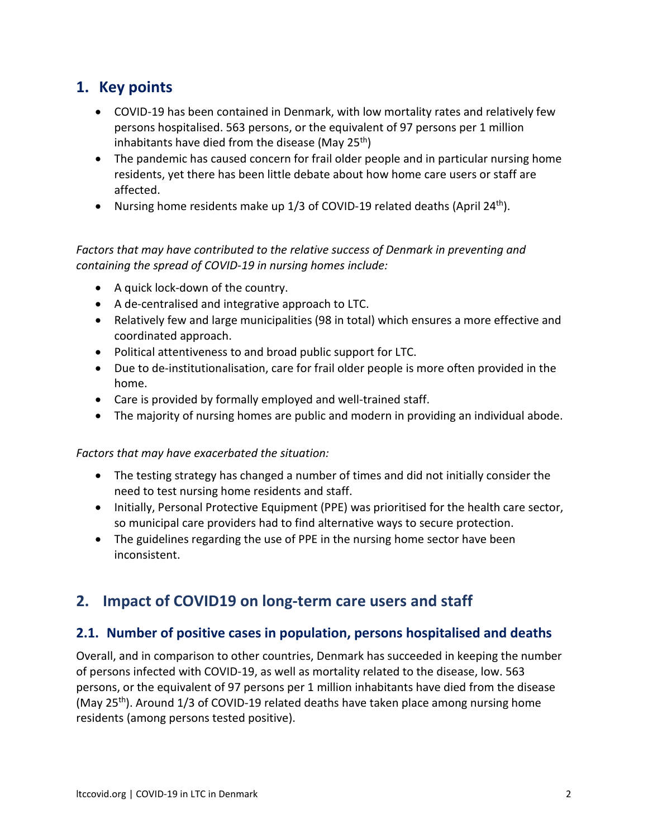## **1. Key points**

- COVID-19 has been contained in Denmark, with low mortality rates and relatively few persons hospitalised. 563 persons, or the equivalent of 97 persons per 1 million inhabitants have died from the disease (May  $25<sup>th</sup>$ )
- The pandemic has caused concern for frail older people and in particular nursing home residents, yet there has been little debate about how home care users or staff are affected.
- Nursing home residents make up  $1/3$  of COVID-19 related deaths (April 24<sup>th</sup>).

#### *Factors that may have contributed to the relative success of Denmark in preventing and containing the spread of COVID-19 in nursing homes include:*

- A quick lock-down of the country.
- A de-centralised and integrative approach to LTC.
- Relatively few and large municipalities (98 in total) which ensures a more effective and coordinated approach.
- Political attentiveness to and broad public support for LTC.
- Due to de-institutionalisation, care for frail older people is more often provided in the home.
- Care is provided by formally employed and well-trained staff.
- The majority of nursing homes are public and modern in providing an individual abode.

*Factors that may have exacerbated the situation:* 

- The testing strategy has changed a number of times and did not initially consider the need to test nursing home residents and staff.
- Initially, Personal Protective Equipment (PPE) was prioritised for the health care sector, so municipal care providers had to find alternative ways to secure protection.
- The guidelines regarding the use of PPE in the nursing home sector have been inconsistent.

## **2. Impact of COVID19 on long-term care users and staff**

### **2.1. Number of positive cases in population, persons hospitalised and deaths**

Overall, and in comparison to other countries, Denmark has succeeded in keeping the number of persons infected with COVID-19, as well as mortality related to the disease, low. 563 persons, or the equivalent of 97 persons per 1 million inhabitants have died from the disease (May 25<sup>th</sup>). Around 1/3 of COVID-19 related deaths have taken place among nursing home residents (among persons tested positive).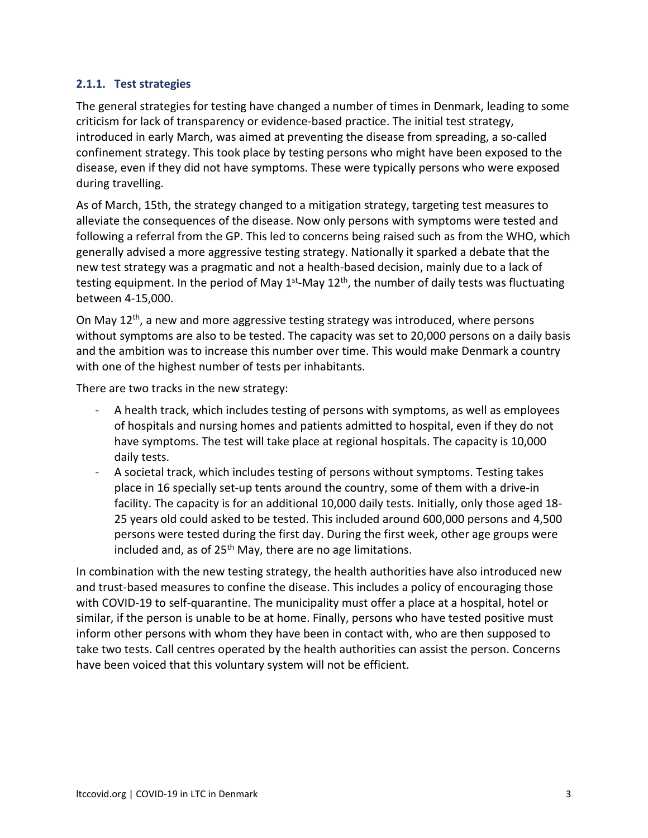#### **2.1.1. Test strategies**

The general strategies for testing have changed a number of times in Denmark, leading to some criticism for lack of transparency or evidence-based practice. The initial test strategy, introduced in early March, was aimed at preventing the disease from spreading, a so-called confinement strategy. This took place by testing persons who might have been exposed to the disease, even if they did not have symptoms. These were typically persons who were exposed during travelling.

As of March, 15th, the strategy changed to a mitigation strategy, targeting test measures to alleviate the consequences of the disease. Now only persons with symptoms were tested and following a referral from the GP. This led to concerns being raised such as from the WHO, which generally advised a more aggressive testing strategy. Nationally it sparked a debate that the new test strategy was a pragmatic and not a health-based decision, mainly due to a lack of testing equipment. In the period of May  $1^{st}$ -May  $12^{th}$ , the number of daily tests was fluctuating between 4-15,000.

On May 12<sup>th</sup>, a new and more aggressive testing strategy was introduced, where persons without symptoms are also to be tested. The capacity was set to 20,000 persons on a daily basis and the ambition was to increase this number over time. This would make Denmark a country with one of the highest number of tests per inhabitants.

There are two tracks in the new strategy:

- A health track, which includes testing of persons with symptoms, as well as employees of hospitals and nursing homes and patients admitted to hospital, even if they do not have symptoms. The test will take place at regional hospitals. The capacity is 10,000 daily tests.
- A societal track, which includes testing of persons without symptoms. Testing takes place in 16 specially set-up tents around the country, some of them with a drive-in facility. The capacity is for an additional 10,000 daily tests. Initially, only those aged 18- 25 years old could asked to be tested. This included around 600,000 persons and 4,500 persons were tested during the first day. During the first week, other age groups were included and, as of  $25<sup>th</sup>$  May, there are no age limitations.

In combination with the new testing strategy, the health authorities have also introduced new and trust-based measures to confine the disease. This includes a policy of encouraging those with COVID-19 to self-quarantine. The municipality must offer a place at a hospital, hotel or similar, if the person is unable to be at home. Finally, persons who have tested positive must inform other persons with whom they have been in contact with, who are then supposed to take two tests. Call centres operated by the health authorities can assist the person. Concerns have been voiced that this voluntary system will not be efficient.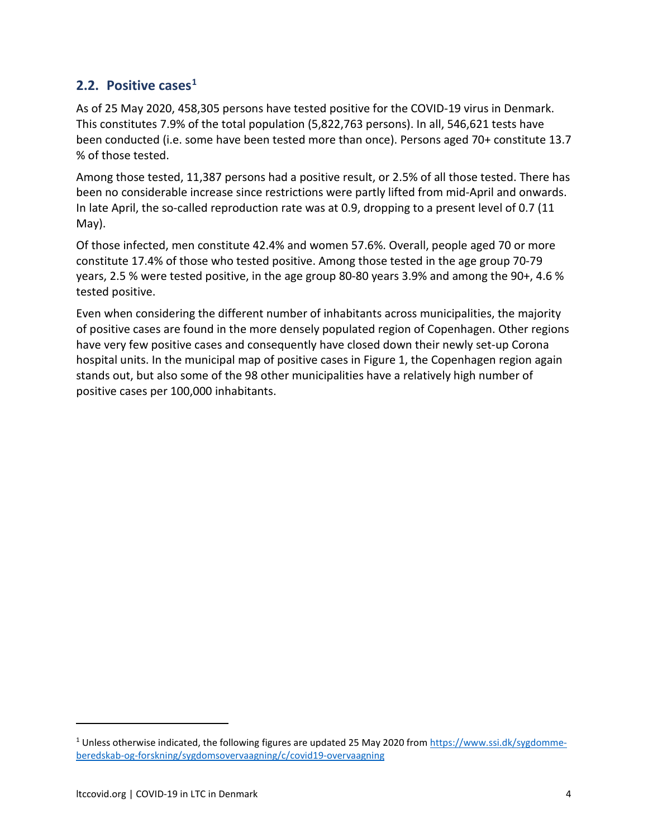## **2.2.** Positive cases<sup>1</sup>

As of 25 May 2020, 458,305 persons have tested positive for the COVID-19 virus in Denmark. This constitutes 7.9% of the total population (5,822,763 persons). In all, 546,621 tests have been conducted (i.e. some have been tested more than once). Persons aged 70+ constitute 13.7 % of those tested.

Among those tested, 11,387 persons had a positive result, or 2.5% of all those tested. There has been no considerable increase since restrictions were partly lifted from mid-April and onwards. In late April, the so-called reproduction rate was at 0.9, dropping to a present level of 0.7 (11 May).

Of those infected, men constitute 42.4% and women 57.6%. Overall, people aged 70 or more constitute 17.4% of those who tested positive. Among those tested in the age group 70-79 years, 2.5 % were tested positive, in the age group 80-80 years 3.9% and among the 90+, 4.6 % tested positive.

Even when considering the different number of inhabitants across municipalities, the majority of positive cases are found in the more densely populated region of Copenhagen. Other regions have very few positive cases and consequently have closed down their newly set-up Corona hospital units. In the municipal map of positive cases in Figure 1, the Copenhagen region again stands out, but also some of the 98 other municipalities have a relatively high number of positive cases per 100,000 inhabitants.

<span id="page-3-0"></span><sup>&</sup>lt;sup>1</sup> Unless otherwise indicated, the following figures are updated 25 May 2020 fro[m https://www.ssi.dk/sygdomme](https://www.ssi.dk/sygdomme-beredskab-og-forskning/sygdomsovervaagning/c/covid19-overvaagning)[beredskab-og-forskning/sygdomsovervaagning/c/covid19-overvaagning](https://www.ssi.dk/sygdomme-beredskab-og-forskning/sygdomsovervaagning/c/covid19-overvaagning)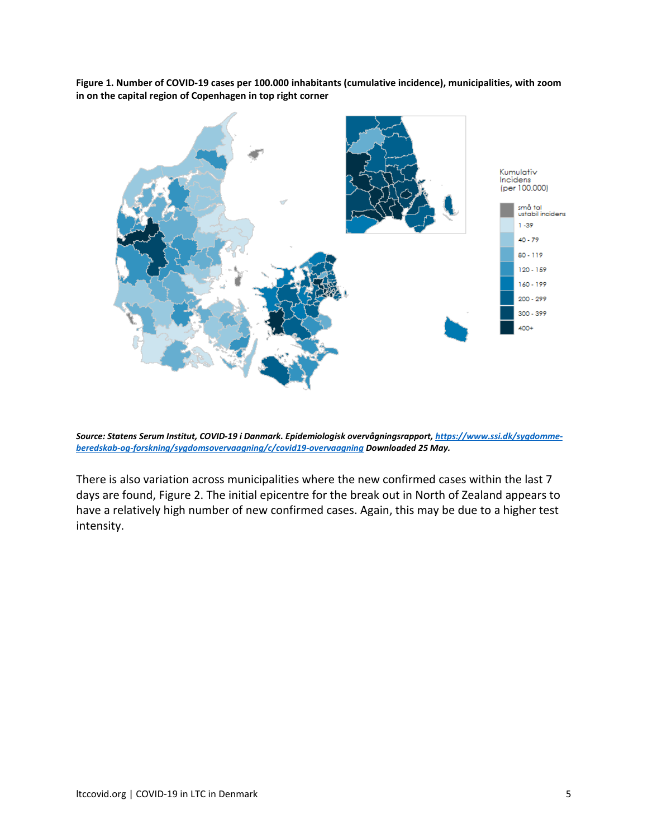**Figure 1. Number of COVID-19 cases per 100.000 inhabitants (cumulative incidence), municipalities, with zoom in on the capital region of Copenhagen in top right corner**



*Source: Statens Serum Institut, COVID-19 i Danmark. Epidemiologisk overvågningsrapport[, https://www.ssi.dk/sygdomme](https://www.ssi.dk/sygdomme-beredskab-og-forskning/sygdomsovervaagning/c/covid19-overvaagning)[beredskab-og-forskning/sygdomsovervaagning/c/covid19-overvaagning](https://www.ssi.dk/sygdomme-beredskab-og-forskning/sygdomsovervaagning/c/covid19-overvaagning) Downloaded 25 May.*

There is also variation across municipalities where the new confirmed cases within the last 7 days are found, Figure 2. The initial epicentre for the break out in North of Zealand appears to have a relatively high number of new confirmed cases. Again, this may be due to a higher test intensity.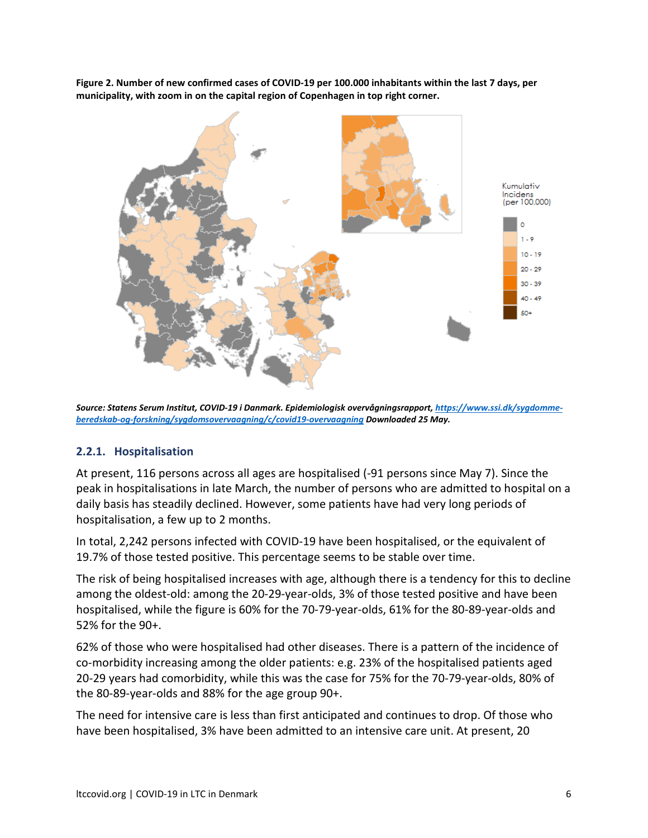**Figure 2. Number of new confirmed cases of COVID-19 per 100.000 inhabitants within the last 7 days, per municipality, with zoom in on the capital region of Copenhagen in top right corner.** 



*Source: Statens Serum Institut, COVID-19 i Danmark. Epidemiologisk overvågningsrapport[, https://www.ssi.dk/sygdomme](https://www.ssi.dk/sygdomme-beredskab-og-forskning/sygdomsovervaagning/c/covid19-overvaagning)[beredskab-og-forskning/sygdomsovervaagning/c/covid19-overvaagning](https://www.ssi.dk/sygdomme-beredskab-og-forskning/sygdomsovervaagning/c/covid19-overvaagning) Downloaded 25 May.*

#### **2.2.1. Hospitalisation**

At present, 116 persons across all ages are hospitalised (-91 persons since May 7). Since the peak in hospitalisations in late March, the number of persons who are admitted to hospital on a daily basis has steadily declined. However, some patients have had very long periods of hospitalisation, a few up to 2 months.

In total, 2,242 persons infected with COVID-19 have been hospitalised, or the equivalent of 19.7% of those tested positive. This percentage seems to be stable over time.

The risk of being hospitalised increases with age, although there is a tendency for this to decline among the oldest-old: among the 20-29-year-olds, 3% of those tested positive and have been hospitalised, while the figure is 60% for the 70-79-year-olds, 61% for the 80-89-year-olds and 52% for the 90+.

62% of those who were hospitalised had other diseases. There is a pattern of the incidence of co-morbidity increasing among the older patients: e.g. 23% of the hospitalised patients aged 20-29 years had comorbidity, while this was the case for 75% for the 70-79-year-olds, 80% of the 80-89-year-olds and 88% for the age group 90+.

The need for intensive care is less than first anticipated and continues to drop. Of those who have been hospitalised, 3% have been admitted to an intensive care unit. At present, 20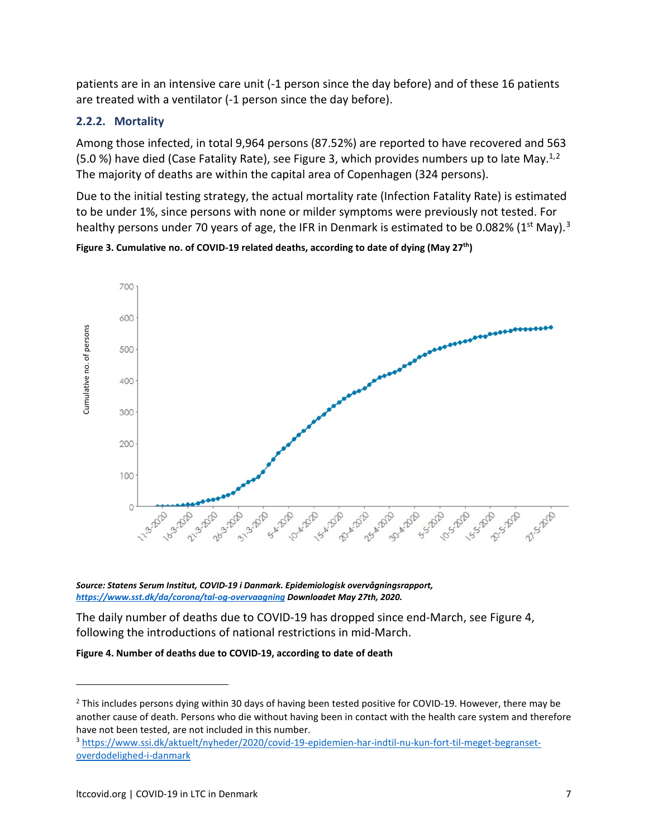patients are in an intensive care unit (-1 person since the day before) and of these 16 patients are treated with a ventilator (-1 person since the day before).

#### **2.2.2. Mortality**

Among those infected, in total 9,964 persons (87.52%) are reported to have recovered and 563 (5.0 %) have died (Case Fatality Rate), see Figure 3, which provides numbers up to late May.<sup>1,[2](#page-6-0)</sup> The majority of deaths are within the capital area of Copenhagen (324 persons).

Due to the initial testing strategy, the actual mortality rate (Infection Fatality Rate) is estimated to be under 1%, since persons with none or milder symptoms were previously not tested. For healthy persons under 70 years of age, the IFR in Denmark is estimated to be 0.082% (1st May).<sup>[3](#page-6-1)</sup>

**Figure 3. Cumulative no. of COVID-19 related deaths, according to date of dying (May 27th)**



*Source: Statens Serum Institut, COVID-19 i Danmark. Epidemiologisk overvågningsrapport, <https://www.sst.dk/da/corona/tal-og-overvaagning> Downloadet May 27th, 2020.*

The daily number of deaths due to COVID-19 has dropped since end-March, see Figure 4, following the introductions of national restrictions in mid-March.

**Figure 4. Number of deaths due to COVID-19, according to date of death**

<span id="page-6-0"></span><sup>&</sup>lt;sup>2</sup> This includes persons dying within 30 days of having been tested positive for COVID-19. However, there may be another cause of death. Persons who die without having been in contact with the health care system and therefore have not been tested, are not included in this number.

<span id="page-6-1"></span><sup>3</sup> [https://www.ssi.dk/aktuelt/nyheder/2020/covid-19-epidemien-har-indtil-nu-kun-fort-til-meget-begranset-](https://www.ssi.dk/aktuelt/nyheder/2020/covid-19-epidemien-har-indtil-nu-kun-fort-til-meget-begranset-overdodelighed-i-danmark)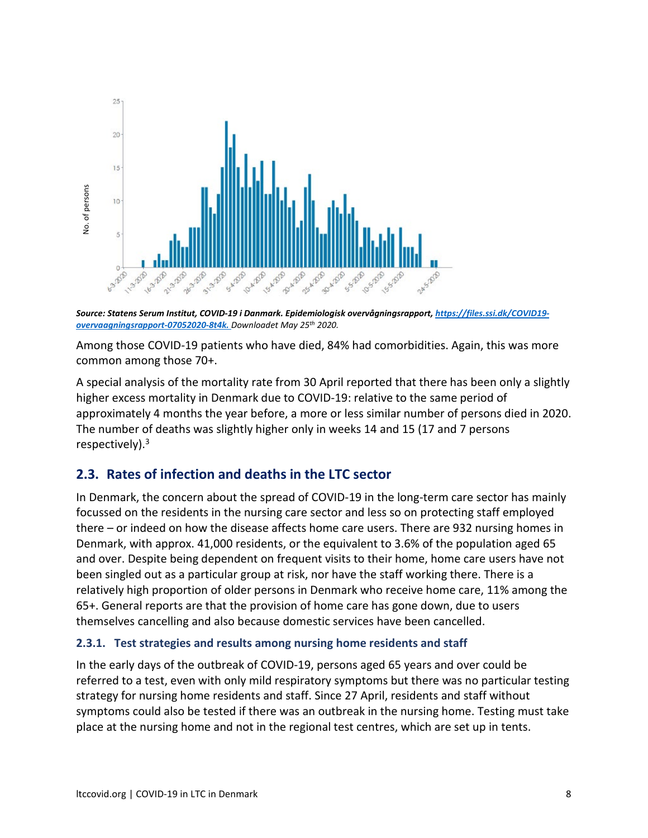

*Source: Statens Serum Institut, COVID-19 i Danmark. Epidemiologisk overvågningsrapport[, https://files.ssi.dk/COVID19](https://files.ssi.dk/COVID19-overvaagningsrapport-07052020-8t4k.%20Downloadet%2025%20May%202020) [overvaagningsrapport-07052020-8t4k.](https://files.ssi.dk/COVID19-overvaagningsrapport-07052020-8t4k.%20Downloadet%2025%20May%202020) Downloadet May 25th 2020.* 

Among those COVID-19 patients who have died, 84% had comorbidities. Again, this was more common among those 70+.

A special analysis of the mortality rate from 30 April reported that there has been only a slightly higher excess mortality in Denmark due to COVID-19: relative to the same period of approximately 4 months the year before, a more or less similar number of persons died in 2020. The number of deaths was slightly higher only in weeks 14 and 15 (17 and 7 persons respectively).3

## **2.3. Rates of infection and deaths in the LTC sector**

In Denmark, the concern about the spread of COVID-19 in the long-term care sector has mainly focussed on the residents in the nursing care sector and less so on protecting staff employed there – or indeed on how the disease affects home care users. There are 932 nursing homes in Denmark, with approx. 41,000 residents, or the equivalent to 3.6% of the population aged 65 and over. Despite being dependent on frequent visits to their home, home care users have not been singled out as a particular group at risk, nor have the staff working there. There is a relatively high proportion of older persons in Denmark who receive home care, 11% among the 65+. General reports are that the provision of home care has gone down, due to users themselves cancelling and also because domestic services have been cancelled. place at the number of courses at the nursing home residents and start. Since and not in the nursing home residents and  $\mathcal{P}(\mathcal{P}(\mathcal{P}, \mathcal{P}, \mathcal{P}, \mathcal{P}, \mathcal{P}, \mathcal{P}, \mathcal{P}, \mathcal{P}, \mathcal{P}, \mathcal{P}, \mathcal{P}, \mathcal{P}, \mathcal{P}, \mathcal{P}, \mathcal{P$ 

#### **2.3.1. Test strategies and results among nursing home residents and staff**

In the early days of the outbreak of COVID-19, persons aged 65 years and over could be referred to a test, even with only mild respiratory symptoms but there was no particular testing strategy for nursing home residents and staff. Since 27 April, residents and staff without symptoms could also be tested if there was an outbreak in the nursing home. Testing must take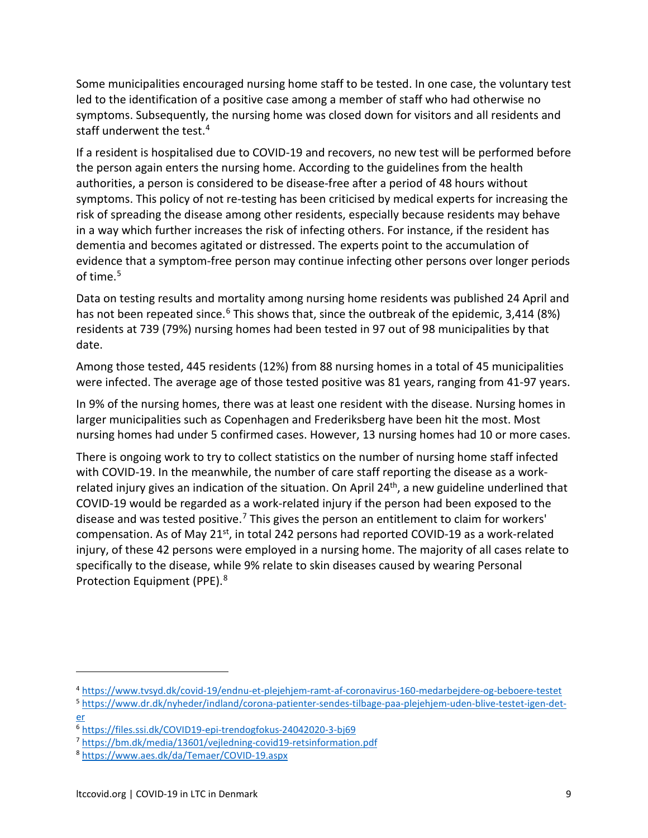Some municipalities encouraged nursing home staff to be tested. In one case, the voluntary test led to the identification of a positive case among a member of staff who had otherwise no symptoms. Subsequently, the nursing home was closed down for visitors and all residents and staff underwent the test[.4](#page-8-0)

If a resident is hospitalised due to COVID-19 and recovers, no new test will be performed before the person again enters the nursing home. According to the guidelines from the health authorities, a person is considered to be disease-free after a period of 48 hours without symptoms. This policy of not re-testing has been criticised by medical experts for increasing the risk of spreading the disease among other residents, especially because residents may behave in a way which further increases the risk of infecting others. For instance, if the resident has dementia and becomes agitated or distressed. The experts point to the accumulation of evidence that a symptom-free person may continue infecting other persons over longer periods of time. [5](#page-8-1)

Data on testing results and mortality among nursing home residents was published 24 April and has not been repeated since.<sup>[6](#page-8-2)</sup> This shows that, since the outbreak of the epidemic, 3,414 (8%) residents at 739 (79%) nursing homes had been tested in 97 out of 98 municipalities by that date.

Among those tested, 445 residents (12%) from 88 nursing homes in a total of 45 municipalities were infected. The average age of those tested positive was 81 years, ranging from 41-97 years.

In 9% of the nursing homes, there was at least one resident with the disease. Nursing homes in larger municipalities such as Copenhagen and Frederiksberg have been hit the most. Most nursing homes had under 5 confirmed cases. However, 13 nursing homes had 10 or more cases.

There is ongoing work to try to collect statistics on the number of nursing home staff infected with COVID-19. In the meanwhile, the number of care staff reporting the disease as a workrelated injury gives an indication of the situation. On April  $24<sup>th</sup>$ , a new guideline underlined that COVID-19 would be regarded as a work-related injury if the person had been exposed to the disease and was tested positive.<sup>[7](#page-8-3)</sup> This gives the person an entitlement to claim for workers' compensation. As of May 21<sup>st</sup>, in total 242 persons had reported COVID-19 as a work-related injury, of these 42 persons were employed in a nursing home. The majority of all cases relate to specifically to the disease, while 9% relate to skin diseases caused by wearing Personal Protection Equipment (PPE). [8](#page-8-4)

<span id="page-8-0"></span><sup>4</sup> <https://www.tvsyd.dk/covid-19/endnu-et-plejehjem-ramt-af-coronavirus-160-medarbejdere-og-beboere-testet>

<span id="page-8-1"></span><sup>5</sup> [https://www.dr.dk/nyheder/indland/corona-patienter-sendes-tilbage-paa-plejehjem-uden-blive-testet-igen-det](https://www.dr.dk/nyheder/indland/corona-patienter-sendes-tilbage-paa-plejehjem-uden-blive-testet-igen-det-er)[er](https://www.dr.dk/nyheder/indland/corona-patienter-sendes-tilbage-paa-plejehjem-uden-blive-testet-igen-det-er)

<span id="page-8-2"></span><sup>6</sup> <https://files.ssi.dk/COVID19-epi-trendogfokus-24042020-3-bj69>

<span id="page-8-3"></span><sup>7</sup> <https://bm.dk/media/13601/vejledning-covid19-retsinformation.pdf>

<span id="page-8-4"></span><sup>8</sup> <https://www.aes.dk/da/Temaer/COVID-19.aspx>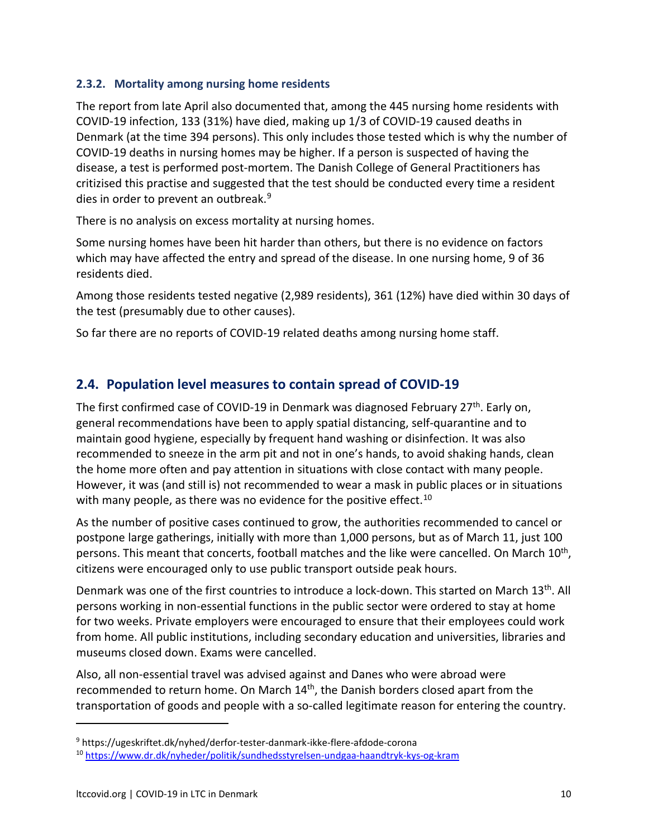#### **2.3.2. Mortality among nursing home residents**

The report from late April also documented that, among the 445 nursing home residents with COVID-19 infection, 133 (31%) have died, making up 1/3 of COVID-19 caused deaths in Denmark (at the time 394 persons). This only includes those tested which is why the number of COVID-19 deaths in nursing homes may be higher. If a person is suspected of having the disease, a test is performed post-mortem. The Danish College of General Practitioners has critizised this practise and suggested that the test should be conducted every time a resident dies in order to prevent an outbreak.<sup>9</sup>

There is no analysis on excess mortality at nursing homes.

Some nursing homes have been hit harder than others, but there is no evidence on factors which may have affected the entry and spread of the disease. In one nursing home, 9 of 36 residents died.

Among those residents tested negative (2,989 residents), 361 (12%) have died within 30 days of the test (presumably due to other causes).

So far there are no reports of COVID-19 related deaths among nursing home staff.

## **2.4. Population level measures to contain spread of COVID-19**

The first confirmed case of COVID-19 in Denmark was diagnosed February 27<sup>th</sup>. Early on, general recommendations have been to apply spatial distancing, self-quarantine and to maintain good hygiene, especially by frequent hand washing or disinfection. It was also recommended to sneeze in the arm pit and not in one's hands, to avoid shaking hands, clean the home more often and pay attention in situations with close contact with many people. However, it was (and still is) not recommended to wear a mask in public places or in situations with many people, as there was no evidence for the positive effect.<sup>[10](#page-9-1)</sup>

As the number of positive cases continued to grow, the authorities recommended to cancel or postpone large gatherings, initially with more than 1,000 persons, but as of March 11, just 100 persons. This meant that concerts, football matches and the like were cancelled. On March 10<sup>th</sup>, citizens were encouraged only to use public transport outside peak hours.

Denmark was one of the first countries to introduce a lock-down. This started on March 13<sup>th</sup>. All persons working in non-essential functions in the public sector were ordered to stay at home for two weeks. Private employers were encouraged to ensure that their employees could work from home. All public institutions, including secondary education and universities, libraries and museums closed down. Exams were cancelled.

Also, all non-essential travel was advised against and Danes who were abroad were recommended to return home. On March 14th, the Danish borders closed apart from the transportation of goods and people with a so-called legitimate reason for entering the country.

<span id="page-9-0"></span><sup>9</sup> https://ugeskriftet.dk/nyhed/derfor-tester-danmark-ikke-flere-afdode-corona

<span id="page-9-1"></span><sup>&</sup>lt;sup>10</sup> <https://www.dr.dk/nyheder/politik/sundhedsstyrelsen-undgaa-haandtryk-kys-og-kram>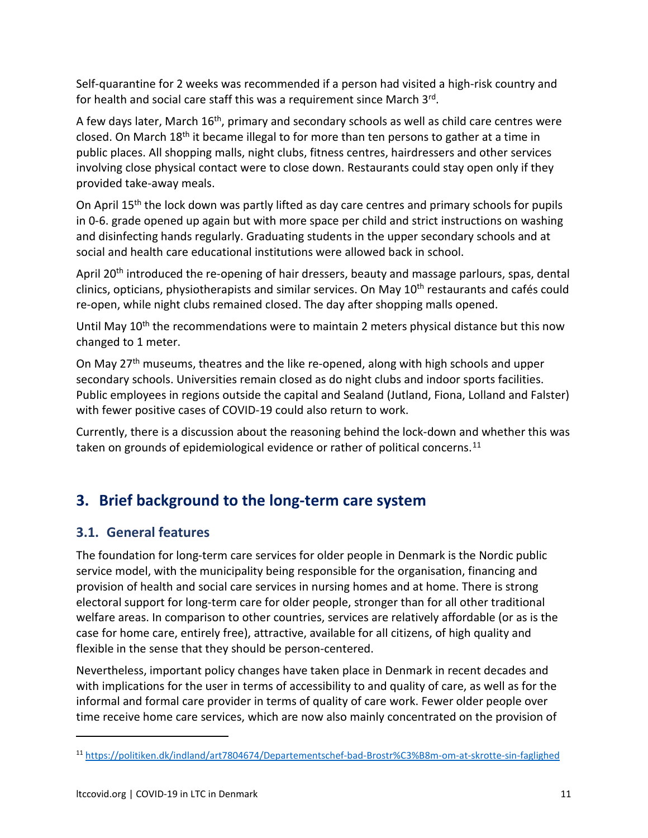Self-quarantine for 2 weeks was recommended if a person had visited a high-risk country and for health and social care staff this was a requirement since March 3rd.

A few days later, March 16<sup>th</sup>, primary and secondary schools as well as child care centres were closed. On March 18<sup>th</sup> it became illegal to for more than ten persons to gather at a time in public places. All shopping malls, night clubs, fitness centres, hairdressers and other services involving close physical contact were to close down. Restaurants could stay open only if they provided take-away meals.

On April  $15<sup>th</sup>$  the lock down was partly lifted as day care centres and primary schools for pupils in 0-6. grade opened up again but with more space per child and strict instructions on washing and disinfecting hands regularly. Graduating students in the upper secondary schools and at social and health care educational institutions were allowed back in school.

April 20<sup>th</sup> introduced the re-opening of hair dressers, beauty and massage parlours, spas, dental clinics, opticians, physiotherapists and similar services. On May 10<sup>th</sup> restaurants and cafés could re-open, while night clubs remained closed. The day after shopping malls opened.

Until May 10<sup>th</sup> the recommendations were to maintain 2 meters physical distance but this now changed to 1 meter.

On May 27<sup>th</sup> museums, theatres and the like re-opened, along with high schools and upper secondary schools. Universities remain closed as do night clubs and indoor sports facilities. Public employees in regions outside the capital and Sealand (Jutland, Fiona, Lolland and Falster) with fewer positive cases of COVID-19 could also return to work.

Currently, there is a discussion about the reasoning behind the lock-down and whether this was taken on grounds of epidemiological evidence or rather of political concerns.<sup>[11](#page-10-0)</sup>

# **3. Brief background to the long-term care system**

## **3.1. General features**

The foundation for long-term care services for older people in Denmark is the Nordic public service model, with the municipality being responsible for the organisation, financing and provision of health and social care services in nursing homes and at home. There is strong electoral support for long-term care for older people, stronger than for all other traditional welfare areas. In comparison to other countries, services are relatively affordable (or as is the case for home care, entirely free), attractive, available for all citizens, of high quality and flexible in the sense that they should be person-centered.

Nevertheless, important policy changes have taken place in Denmark in recent decades and with implications for the user in terms of accessibility to and quality of care, as well as for the informal and formal care provider in terms of quality of care work. Fewer older people over time receive home care services, which are now also mainly concentrated on the provision of

<span id="page-10-0"></span><sup>11</sup> <https://politiken.dk/indland/art7804674/Departementschef-bad-Brostr%C3%B8m-om-at-skrotte-sin-faglighed>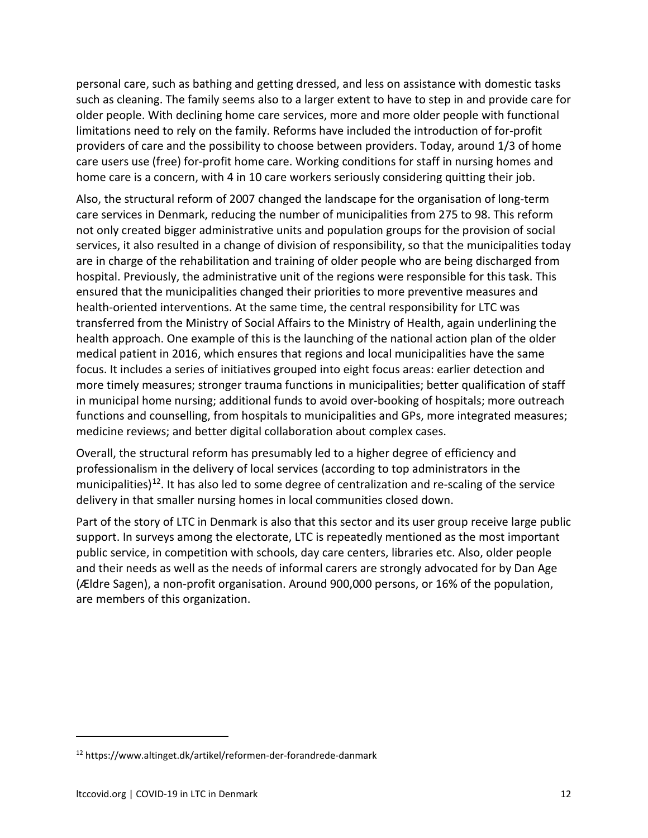personal care, such as bathing and getting dressed, and less on assistance with domestic tasks such as cleaning. The family seems also to a larger extent to have to step in and provide care for older people. With declining home care services, more and more older people with functional limitations need to rely on the family. Reforms have included the introduction of for-profit providers of care and the possibility to choose between providers. Today, around 1/3 of home care users use (free) for-profit home care. Working conditions for staff in nursing homes and home care is a concern, with 4 in 10 care workers seriously considering quitting their job.

Also, the structural reform of 2007 changed the landscape for the organisation of long-term care services in Denmark, reducing the number of municipalities from 275 to 98. This reform not only created bigger administrative units and population groups for the provision of social services, it also resulted in a change of division of responsibility, so that the municipalities today are in charge of the rehabilitation and training of older people who are being discharged from hospital. Previously, the administrative unit of the regions were responsible for this task. This ensured that the municipalities changed their priorities to more preventive measures and health-oriented interventions. At the same time, the central responsibility for LTC was transferred from the Ministry of Social Affairs to the Ministry of Health, again underlining the health approach. One example of this is the launching of the national action plan of the older medical patient in 2016, which ensures that regions and local municipalities have the same focus. It includes a series of initiatives grouped into eight focus areas: earlier detection and more timely measures; stronger trauma functions in municipalities; better qualification of staff in municipal home nursing; additional funds to avoid over-booking of hospitals; more outreach functions and counselling, from hospitals to municipalities and GPs, more integrated measures; medicine reviews; and better digital collaboration about complex cases.

Overall, the structural reform has presumably led to a higher degree of efficiency and professionalism in the delivery of local services (according to top administrators in the municipalities)<sup>[12](#page-11-0)</sup>. It has also led to some degree of centralization and re-scaling of the service delivery in that smaller nursing homes in local communities closed down.

Part of the story of LTC in Denmark is also that this sector and its user group receive large public support. In surveys among the electorate, LTC is repeatedly mentioned as the most important public service, in competition with schools, day care centers, libraries etc. Also, older people and their needs as well as the needs of informal carers are strongly advocated for by Dan Age (Ældre Sagen), a non-profit organisation. Around 900,000 persons, or 16% of the population, are members of this organization.

<span id="page-11-0"></span><sup>12</sup> https://www.altinget.dk/artikel/reformen-der-forandrede-danmark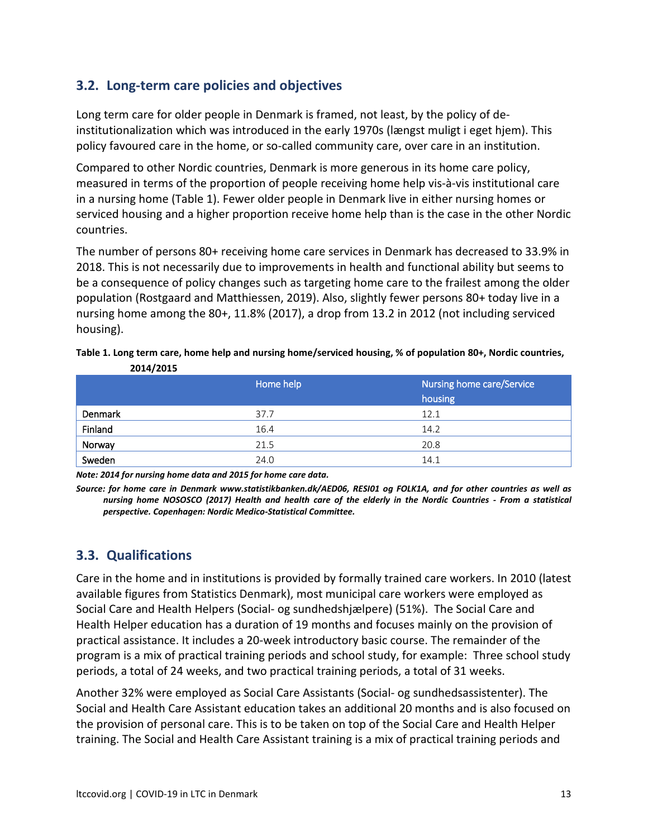## **3.2. Long-term care policies and objectives**

Long term care for older people in Denmark is framed, not least, by the policy of deinstitutionalization which was introduced in the early 1970s (længst muligt i eget hjem). This policy favoured care in the home, or so-called community care, over care in an institution.

Compared to other Nordic countries, Denmark is more generous in its home care policy, measured in terms of the proportion of people receiving home help vis-à-vis institutional care in a nursing home (Table 1). Fewer older people in Denmark live in either nursing homes or serviced housing and a higher proportion receive home help than is the case in the other Nordic countries.

The number of persons 80+ receiving home care services in Denmark has decreased to 33.9% in 2018. This is not necessarily due to improvements in health and functional ability but seems to be a consequence of policy changes such as targeting home care to the frailest among the older population (Rostgaard and Matthiessen, 2019). Also, slightly fewer persons 80+ today live in a nursing home among the 80+, 11.8% (2017), a drop from 13.2 in 2012 (not including serviced housing).

| Table 1. Long term care, home help and nursing home/serviced housing, % of population 80+, Nordic countries, |           |                           |  |  |  |
|--------------------------------------------------------------------------------------------------------------|-----------|---------------------------|--|--|--|
| 2014/2015                                                                                                    |           |                           |  |  |  |
|                                                                                                              | Home help | Nursing home care/Service |  |  |  |

|         | Home help | Nursing home care/Service<br>housing |
|---------|-----------|--------------------------------------|
| Denmark | 37.7      | 12.1                                 |
| Finland | 16.4      | 14.2                                 |
| Norway  | 21.5      | 20.8                                 |
| Sweden  | 24.0      | 14.1                                 |

*Note: 2014 for nursing home data and 2015 for home care data.* 

*Source: for home care in Denmark www.statistikbanken.dk/AED06, RESI01 og FOLK1A, and for other countries as well as nursing home NOSOSCO (2017) Health and health care of the elderly in the Nordic Countries - From a statistical perspective. Copenhagen: Nordic Medico-Statistical Committee.*

## **3.3. Qualifications**

Care in the home and in institutions is provided by formally trained care workers. In 2010 (latest available figures from Statistics Denmark), most municipal care workers were employed as Social Care and Health Helpers (Social- og sundhedshjælpere) (51%). The Social Care and Health Helper education has a duration of 19 months and focuses mainly on the provision of practical assistance. It includes a 20-week introductory basic course. The remainder of the program is a mix of practical training periods and school study, for example: Three school study periods, a total of 24 weeks, and two practical training periods, a total of 31 weeks.

Another 32% were employed as Social Care Assistants (Social- og sundhedsassistenter). The Social and Health Care Assistant education takes an additional 20 months and is also focused on the provision of personal care. This is to be taken on top of the Social Care and Health Helper training. The Social and Health Care Assistant training is a mix of practical training periods and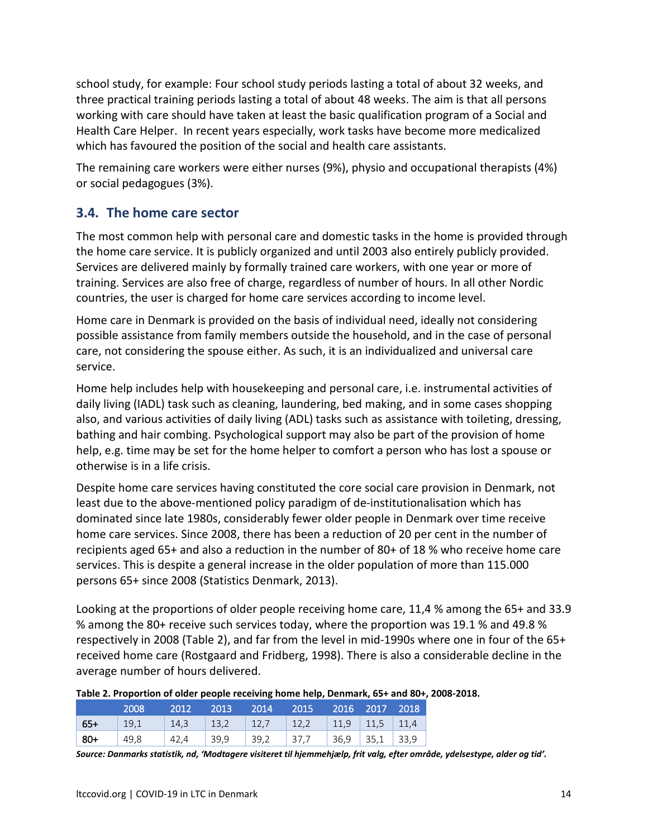school study, for example: Four school study periods lasting a total of about 32 weeks, and three practical training periods lasting a total of about 48 weeks. The aim is that all persons working with care should have taken at least the basic qualification program of a Social and Health Care Helper. In recent years especially, work tasks have become more medicalized which has favoured the position of the social and health care assistants.

The remaining care workers were either nurses (9%), physio and occupational therapists (4%) or social pedagogues (3%).

### **3.4. The home care sector**

The most common help with personal care and domestic tasks in the home is provided through the home care service. It is publicly organized and until 2003 also entirely publicly provided. Services are delivered mainly by formally trained care workers, with one year or more of training. Services are also free of charge, regardless of number of hours. In all other Nordic countries, the user is charged for home care services according to income level.

Home care in Denmark is provided on the basis of individual need, ideally not considering possible assistance from family members outside the household, and in the case of personal care, not considering the spouse either. As such, it is an individualized and universal care service.

Home help includes help with housekeeping and personal care, i.e. instrumental activities of daily living (IADL) task such as cleaning, laundering, bed making, and in some cases shopping also, and various activities of daily living (ADL) tasks such as assistance with toileting, dressing, bathing and hair combing. Psychological support may also be part of the provision of home help, e.g. time may be set for the home helper to comfort a person who has lost a spouse or otherwise is in a life crisis.

Despite home care services having constituted the core social care provision in Denmark, not least due to the above-mentioned policy paradigm of de-institutionalisation which has dominated since late 1980s, considerably fewer older people in Denmark over time receive home care services. Since 2008, there has been a reduction of 20 per cent in the number of recipients aged 65+ and also a reduction in the number of 80+ of 18 % who receive home care services. This is despite a general increase in the older population of more than 115.000 persons 65+ since 2008 (Statistics Denmark, 2013).

Looking at the proportions of older people receiving home care, 11,4 % among the 65+ and 33.9 % among the 80+ receive such services today, where the proportion was 19.1 % and 49.8 % respectively in 2008 (Table 2), and far from the level in mid-1990s where one in four of the 65+ received home care (Rostgaard and Fridberg, 1998). There is also a considerable decline in the average number of hours delivered.

| Table 2. Proportion of older people receiving home help, Denmark, 65+ and 80+, 2008-2018. |  |
|-------------------------------------------------------------------------------------------|--|
|-------------------------------------------------------------------------------------------|--|

|        | 2008           | $\sim$ 2012 |  | 2013 2014 2015 2016 2017 2018                  |  |  |
|--------|----------------|-------------|--|------------------------------------------------|--|--|
| $65+$  | $\vert$ 19,1   |             |  | 14,3   13,2   12,7   12,2   11,9   11,5   11,4 |  |  |
| $ 80+$ | $ 49,8\rangle$ | 42,4 39,9   |  |                                                |  |  |

*Source: Danmarks statistik, nd, 'Modtagere visiteret til hjemmehjælp, frit valg, efter område, ydelsestype, alder og tid'.*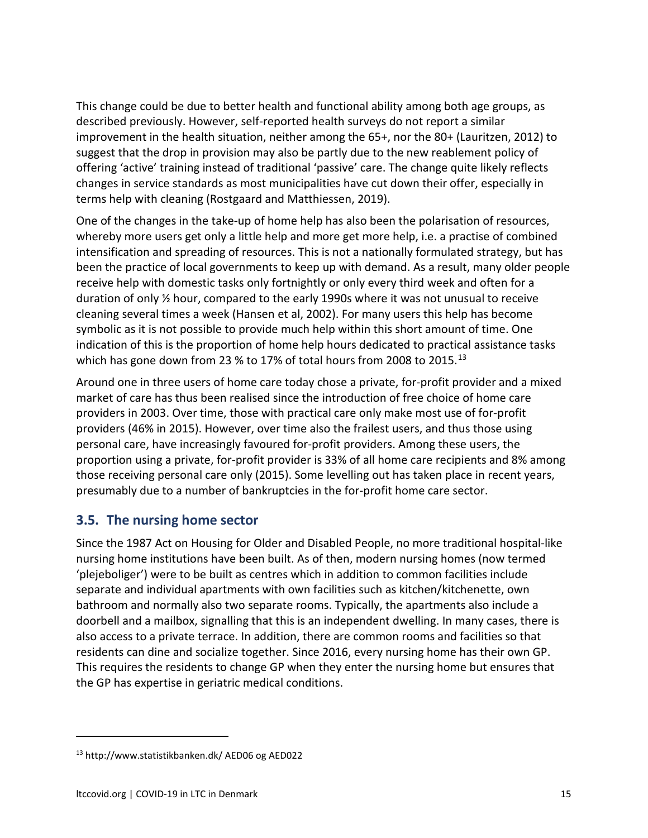This change could be due to better health and functional ability among both age groups, as described previously. However, self-reported health surveys do not report a similar improvement in the health situation, neither among the 65+, nor the 80+ (Lauritzen, 2012) to suggest that the drop in provision may also be partly due to the new reablement policy of offering 'active' training instead of traditional 'passive' care. The change quite likely reflects changes in service standards as most municipalities have cut down their offer, especially in terms help with cleaning (Rostgaard and Matthiessen, 2019).

One of the changes in the take-up of home help has also been the polarisation of resources, whereby more users get only a little help and more get more help, i.e. a practise of combined intensification and spreading of resources. This is not a nationally formulated strategy, but has been the practice of local governments to keep up with demand. As a result, many older people receive help with domestic tasks only fortnightly or only every third week and often for a duration of only ½ hour, compared to the early 1990s where it was not unusual to receive cleaning several times a week (Hansen et al, 2002). For many users this help has become symbolic as it is not possible to provide much help within this short amount of time. One indication of this is the proportion of home help hours dedicated to practical assistance tasks which has gone down from 23 % to 17% of total hours from 2008 to 2015. $^{13}$  $^{13}$  $^{13}$ 

Around one in three users of home care today chose a private, for-profit provider and a mixed market of care has thus been realised since the introduction of free choice of home care providers in 2003. Over time, those with practical care only make most use of for-profit providers (46% in 2015). However, over time also the frailest users, and thus those using personal care, have increasingly favoured for-profit providers. Among these users, the proportion using a private, for-profit provider is 33% of all home care recipients and 8% among those receiving personal care only (2015). Some levelling out has taken place in recent years, presumably due to a number of bankruptcies in the for-profit home care sector.

## **3.5. The nursing home sector**

Since the 1987 Act on Housing for Older and Disabled People, no more traditional hospital-like nursing home institutions have been built. As of then, modern nursing homes (now termed 'plejeboliger') were to be built as centres which in addition to common facilities include separate and individual apartments with own facilities such as kitchen/kitchenette, own bathroom and normally also two separate rooms. Typically, the apartments also include a doorbell and a mailbox, signalling that this is an independent dwelling. In many cases, there is also access to a private terrace. In addition, there are common rooms and facilities so that residents can dine and socialize together. Since 2016, every nursing home has their own GP. This requires the residents to change GP when they enter the nursing home but ensures that the GP has expertise in geriatric medical conditions.

<span id="page-14-0"></span><sup>13</sup> http://www.statistikbanken.dk/ AED06 og AED022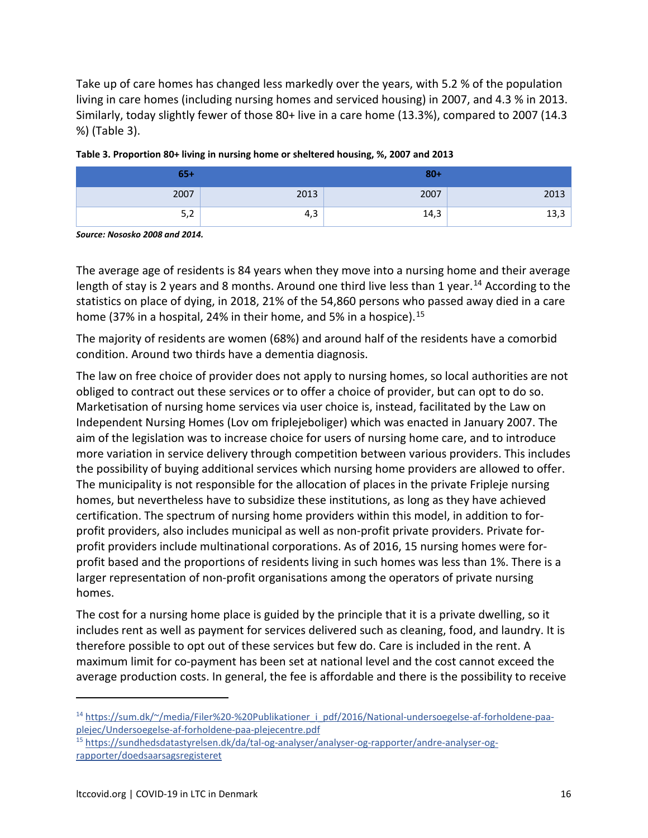Take up of care homes has changed less markedly over the years, with 5.2 % of the population living in care homes (including nursing homes and serviced housing) in 2007, and 4.3 % in 2013. Similarly, today slightly fewer of those 80+ live in a care home (13.3%), compared to 2007 (14.3 %) (Table 3).

| $65+$                            |      | $80+$ |      |
|----------------------------------|------|-------|------|
| 2007                             | 2013 | 2007  | 2013 |
| $\overline{\phantom{a}}$<br>ے رب | 4,3  | 14,3  | 13,3 |

*Source: Nososko 2008 and 2014.*

The average age of residents is 84 years when they move into a nursing home and their average length of stay is 2 years and 8 months. Around one third live less than 1 year.<sup>14</sup> According to the statistics on place of dying, in 2018, 21% of the 54,860 persons who passed away died in a care home (37% in a hospital, 24% in their home, and 5% in a hospice).<sup>[15](#page-15-1)</sup>

The majority of residents are women (68%) and around half of the residents have a comorbid condition. Around two thirds have a dementia diagnosis.

The law on free choice of provider does not apply to nursing homes, so local authorities are not obliged to contract out these services or to offer a choice of provider, but can opt to do so. Marketisation of nursing home services via user choice is, instead, facilitated by the Law on Independent Nursing Homes (Lov om friplejeboliger) which was enacted in January 2007. The aim of the legislation was to increase choice for users of nursing home care, and to introduce more variation in service delivery through competition between various providers. This includes the possibility of buying additional services which nursing home providers are allowed to offer. The municipality is not responsible for the allocation of places in the private Fripleje nursing homes, but nevertheless have to subsidize these institutions, as long as they have achieved certification. The spectrum of nursing home providers within this model, in addition to forprofit providers, also includes municipal as well as non-profit private providers. Private forprofit providers include multinational corporations. As of 2016, 15 nursing homes were forprofit based and the proportions of residents living in such homes was less than 1%. There is a larger representation of non-profit organisations among the operators of private nursing homes.

The cost for a nursing home place is guided by the principle that it is a private dwelling, so it includes rent as well as payment for services delivered such as cleaning, food, and laundry. It is therefore possible to opt out of these services but few do. Care is included in the rent. A maximum limit for co-payment has been set at national level and the cost cannot exceed the average production costs. In general, the fee is affordable and there is the possibility to receive

<span id="page-15-0"></span><sup>&</sup>lt;sup>14</sup> [https://sum.dk/~/media/Filer%20-%20Publikationer\\_i\\_pdf/2016/National-undersoegelse-af-forholdene-paa](https://sum.dk/%7E/media/Filer%20-%20Publikationer_i_pdf/2016/National-undersoegelse-af-forholdene-paa-plejec/Undersoegelse-af-forholdene-paa-plejecentre.pdf)[plejec/Undersoegelse-af-forholdene-paa-plejecentre.pdf](https://sum.dk/%7E/media/Filer%20-%20Publikationer_i_pdf/2016/National-undersoegelse-af-forholdene-paa-plejec/Undersoegelse-af-forholdene-paa-plejecentre.pdf)

<span id="page-15-1"></span><sup>15</sup> [https://sundhedsdatastyrelsen.dk/da/tal-og-analyser/analyser-og-rapporter/andre-analyser-og](https://sundhedsdatastyrelsen.dk/da/tal-og-analyser/analyser-og-rapporter/andre-analyser-og-rapporter/doedsaarsagsregisteret)[rapporter/doedsaarsagsregisteret](https://sundhedsdatastyrelsen.dk/da/tal-og-analyser/analyser-og-rapporter/andre-analyser-og-rapporter/doedsaarsagsregisteret)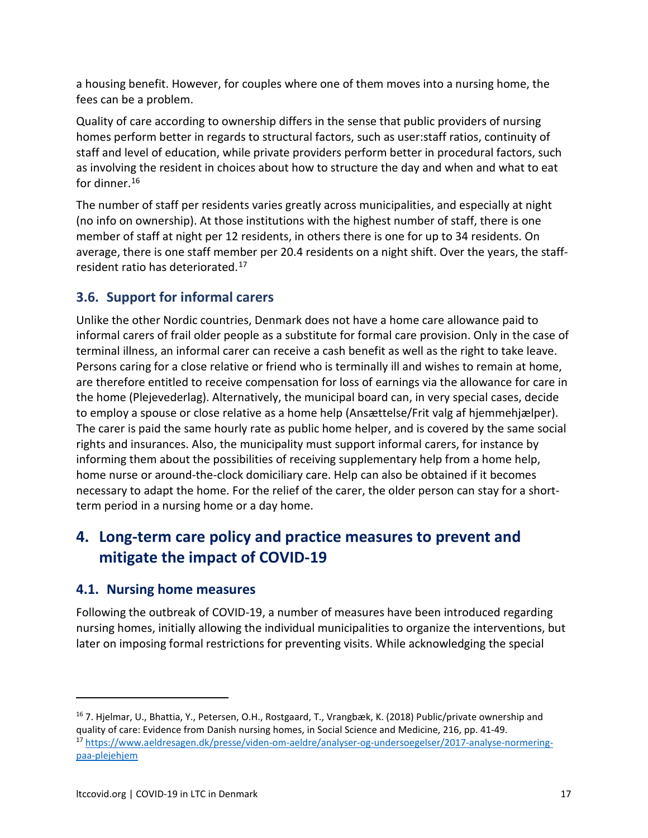a housing benefit. However, for couples where one of them moves into a nursing home, the fees can be a problem.

Quality of care according to ownership differs in the sense that public providers of nursing homes perform better in regards to structural factors, such as user:staff ratios, continuity of staff and level of education, while private providers perform better in procedural factors, such as involving the resident in choices about how to structure the day and when and what to eat for dinner.<sup>[16](#page-16-0)</sup>

The number of staff per residents varies greatly across municipalities, and especially at night (no info on ownership). At those institutions with the highest number of staff, there is one member of staff at night per 12 residents, in others there is one for up to 34 residents. On average, there is one staff member per 20.4 residents on a night shift. Over the years, the staffresident ratio has deteriorated[.17](#page-16-1)

## **3.6. Support for informal carers**

Unlike the other Nordic countries, Denmark does not have a home care allowance paid to informal carers of frail older people as a substitute for formal care provision. Only in the case of terminal illness, an informal carer can receive a cash benefit as well as the right to take leave. Persons caring for a close relative or friend who is terminally ill and wishes to remain at home, are therefore entitled to receive compensation for loss of earnings via the allowance for care in the home (Plejevederlag). Alternatively, the municipal board can, in very special cases, decide to employ a spouse or close relative as a home help (Ansættelse/Frit valg af hjemmehjælper). The carer is paid the same hourly rate as public home helper, and is covered by the same social rights and insurances. Also, the municipality must support informal carers, for instance by informing them about the possibilities of receiving supplementary help from a home help, home nurse or around-the-clock domiciliary care. Help can also be obtained if it becomes necessary to adapt the home. For the relief of the carer, the older person can stay for a shortterm period in a nursing home or a day home.

# **4. Long-term care policy and practice measures to prevent and mitigate the impact of COVID-19**

## **4.1. Nursing home measures**

Following the outbreak of COVID-19, a number of measures have been introduced regarding nursing homes, initially allowing the individual municipalities to organize the interventions, but later on imposing formal restrictions for preventing visits. While acknowledging the special

<span id="page-16-1"></span><span id="page-16-0"></span><sup>16</sup> 7. Hjelmar, U., Bhattia, Y., Petersen, O.H., Rostgaard, T., Vrangbæk, K. (2018) Public/private ownership and quality of care: Evidence from Danish nursing homes, in Social Science and Medicine, 216, pp. 41-49. <sup>17</sup> [https://www.aeldresagen.dk/presse/viden-om-aeldre/analyser-og-undersoegelser/2017-analyse-normering](https://www.aeldresagen.dk/presse/viden-om-aeldre/analyser-og-undersoegelser/2017-analyse-normering-paa-plejehjem)[paa-plejehjem](https://www.aeldresagen.dk/presse/viden-om-aeldre/analyser-og-undersoegelser/2017-analyse-normering-paa-plejehjem)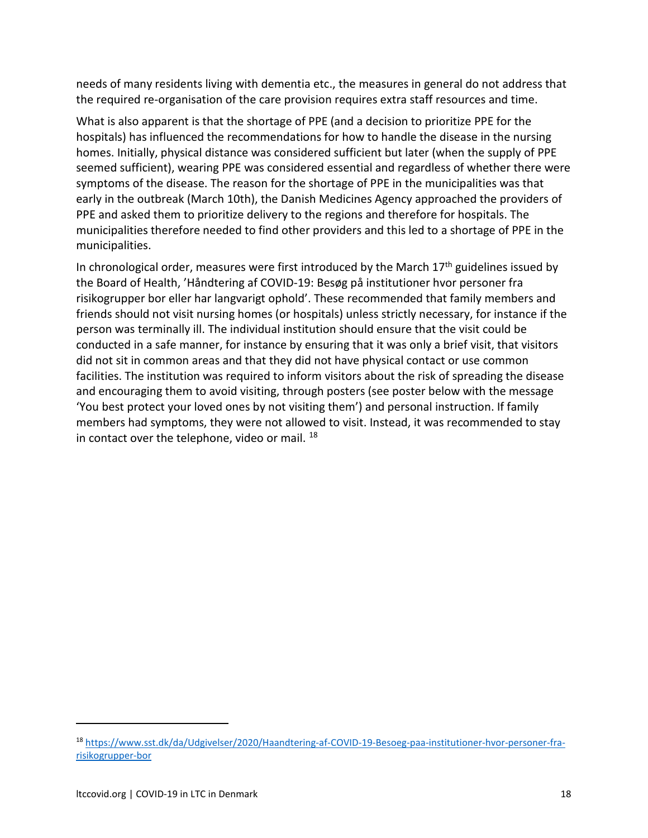needs of many residents living with dementia etc., the measures in general do not address that the required re-organisation of the care provision requires extra staff resources and time.

What is also apparent is that the shortage of PPE (and a decision to prioritize PPE for the hospitals) has influenced the recommendations for how to handle the disease in the nursing homes. Initially, physical distance was considered sufficient but later (when the supply of PPE seemed sufficient), wearing PPE was considered essential and regardless of whether there were symptoms of the disease. The reason for the shortage of PPE in the municipalities was that early in the outbreak (March 10th), the Danish Medicines Agency approached the providers of PPE and asked them to prioritize delivery to the regions and therefore for hospitals. The municipalities therefore needed to find other providers and this led to a shortage of PPE in the municipalities.

In chronological order, measures were first introduced by the March  $17<sup>th</sup>$  guidelines issued by the Board of Health, 'Håndtering af COVID-19: Besøg på institutioner hvor personer fra risikogrupper bor eller har langvarigt ophold'. These recommended that family members and friends should not visit nursing homes (or hospitals) unless strictly necessary, for instance if the person was terminally ill. The individual institution should ensure that the visit could be conducted in a safe manner, for instance by ensuring that it was only a brief visit, that visitors did not sit in common areas and that they did not have physical contact or use common facilities. The institution was required to inform visitors about the risk of spreading the disease and encouraging them to avoid visiting, through posters (see poster below with the message 'You best protect your loved ones by not visiting them') and personal instruction. If family members had symptoms, they were not allowed to visit. Instead, it was recommended to stay in contact over the telephone, video or mail.  $^{18}$  $^{18}$  $^{18}$ 

<span id="page-17-0"></span><sup>18</sup> [https://www.sst.dk/da/Udgivelser/2020/Haandtering-af-COVID-19-Besoeg-paa-institutioner-hvor-personer-fra](https://www.sst.dk/da/Udgivelser/2020/Haandtering-af-COVID-19-Besoeg-paa-institutioner-hvor-personer-fra-risikogrupper-bor)[risikogrupper-bor](https://www.sst.dk/da/Udgivelser/2020/Haandtering-af-COVID-19-Besoeg-paa-institutioner-hvor-personer-fra-risikogrupper-bor)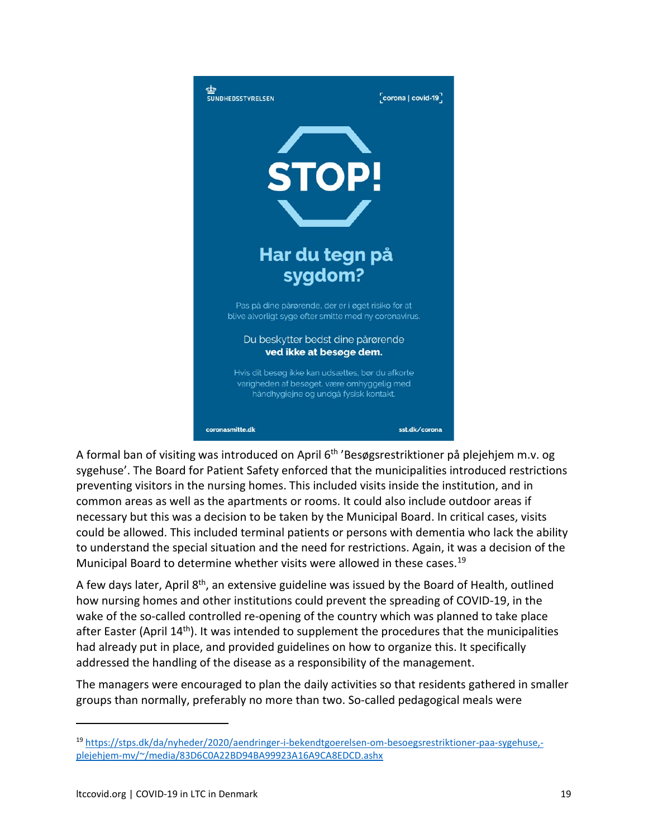

A formal ban of visiting was introduced on April 6<sup>th</sup> 'Besøgsrestriktioner på plejehjem m.v. og sygehuse'. The Board for Patient Safety enforced that the municipalities introduced restrictions preventing visitors in the nursing homes. This included visits inside the institution, and in common areas as well as the apartments or rooms. It could also include outdoor areas if necessary but this was a decision to be taken by the Municipal Board. In critical cases, visits could be allowed. This included terminal patients or persons with dementia who lack the ability to understand the special situation and the need for restrictions. Again, it was a decision of the Municipal Board to determine whether visits were allowed in these cases.<sup>19</sup>

A few days later, April 8<sup>th</sup>, an extensive guideline was issued by the Board of Health, outlined how nursing homes and other institutions could prevent the spreading of COVID-19, in the wake of the so-called controlled re-opening of the country which was planned to take place after Easter (April 14th). It was intended to supplement the procedures that the municipalities had already put in place, and provided guidelines on how to organize this. It specifically addressed the handling of the disease as a responsibility of the management.

The managers were encouraged to plan the daily activities so that residents gathered in smaller groups than normally, preferably no more than two. So-called pedagogical meals were

<span id="page-18-0"></span><sup>19</sup> [https://stps.dk/da/nyheder/2020/aendringer-i-bekendtgoerelsen-om-besoegsrestriktioner-paa-sygehuse,](https://stps.dk/da/nyheder/2020/aendringer-i-bekendtgoerelsen-om-besoegsrestriktioner-paa-sygehuse,-plejehjem-mv/%7E/media/83D6C0A22BD94BA99923A16A9CA8EDCD.ashx) [plejehjem-mv/~/media/83D6C0A22BD94BA99923A16A9CA8EDCD.ashx](https://stps.dk/da/nyheder/2020/aendringer-i-bekendtgoerelsen-om-besoegsrestriktioner-paa-sygehuse,-plejehjem-mv/%7E/media/83D6C0A22BD94BA99923A16A9CA8EDCD.ashx)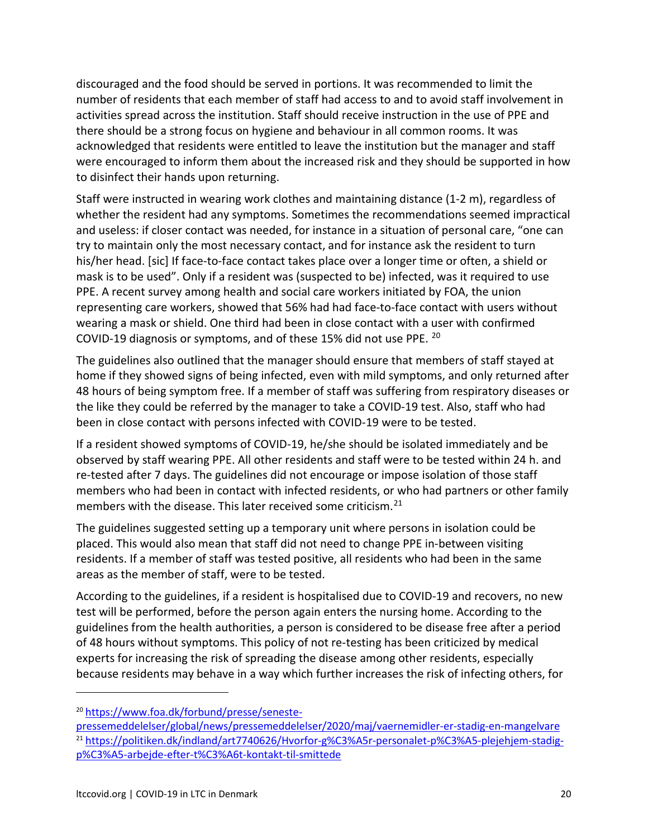discouraged and the food should be served in portions. It was recommended to limit the number of residents that each member of staff had access to and to avoid staff involvement in activities spread across the institution. Staff should receive instruction in the use of PPE and there should be a strong focus on hygiene and behaviour in all common rooms. It was acknowledged that residents were entitled to leave the institution but the manager and staff were encouraged to inform them about the increased risk and they should be supported in how to disinfect their hands upon returning.

Staff were instructed in wearing work clothes and maintaining distance (1-2 m), regardless of whether the resident had any symptoms. Sometimes the recommendations seemed impractical and useless: if closer contact was needed, for instance in a situation of personal care, "one can try to maintain only the most necessary contact, and for instance ask the resident to turn his/her head. [sic] If face-to-face contact takes place over a longer time or often, a shield or mask is to be used". Only if a resident was (suspected to be) infected, was it required to use PPE. A recent survey among health and social care workers initiated by FOA, the union representing care workers, showed that 56% had had face-to-face contact with users without wearing a mask or shield. One third had been in close contact with a user with confirmed COVID-19 diagnosis or symptoms, and of these 15% did not use PPE. [20](#page-19-0)

The guidelines also outlined that the manager should ensure that members of staff stayed at home if they showed signs of being infected, even with mild symptoms, and only returned after 48 hours of being symptom free. If a member of staff was suffering from respiratory diseases or the like they could be referred by the manager to take a COVID-19 test. Also, staff who had been in close contact with persons infected with COVID-19 were to be tested.

If a resident showed symptoms of COVID-19, he/she should be isolated immediately and be observed by staff wearing PPE. All other residents and staff were to be tested within 24 h. and re-tested after 7 days. The guidelines did not encourage or impose isolation of those staff members who had been in contact with infected residents, or who had partners or other family members with the disease. This later received some criticism.<sup>[21](#page-19-1)</sup>

The guidelines suggested setting up a temporary unit where persons in isolation could be placed. This would also mean that staff did not need to change PPE in-between visiting residents. If a member of staff was tested positive, all residents who had been in the same areas as the member of staff, were to be tested.

According to the guidelines, if a resident is hospitalised due to COVID-19 and recovers, no new test will be performed, before the person again enters the nursing home. According to the guidelines from the health authorities, a person is considered to be disease free after a period of 48 hours without symptoms. This policy of not re-testing has been criticized by medical experts for increasing the risk of spreading the disease among other residents, especially because residents may behave in a way which further increases the risk of infecting others, for

<span id="page-19-0"></span><sup>20</sup> [https://www.foa.dk/forbund/presse/seneste-](https://www.foa.dk/forbund/presse/seneste-pressemeddelelser/global/news/pressemeddelelser/2020/maj/vaernemidler-er-stadig-en-mangelvare)

<span id="page-19-1"></span>[pressemeddelelser/global/news/pressemeddelelser/2020/maj/vaernemidler-er-stadig-en-mangelvare](https://www.foa.dk/forbund/presse/seneste-pressemeddelelser/global/news/pressemeddelelser/2020/maj/vaernemidler-er-stadig-en-mangelvare) <sup>21</sup> [https://politiken.dk/indland/art7740626/Hvorfor-g%C3%A5r-personalet-p%C3%A5-plejehjem-stadig](https://politiken.dk/indland/art7740626/Hvorfor-g%C3%A5r-personalet-p%C3%A5-plejehjem-stadig-p%C3%A5-arbejde-efter-t%C3%A6t-kontakt-til-smittede)[p%C3%A5-arbejde-efter-t%C3%A6t-kontakt-til-smittede](https://politiken.dk/indland/art7740626/Hvorfor-g%C3%A5r-personalet-p%C3%A5-plejehjem-stadig-p%C3%A5-arbejde-efter-t%C3%A6t-kontakt-til-smittede)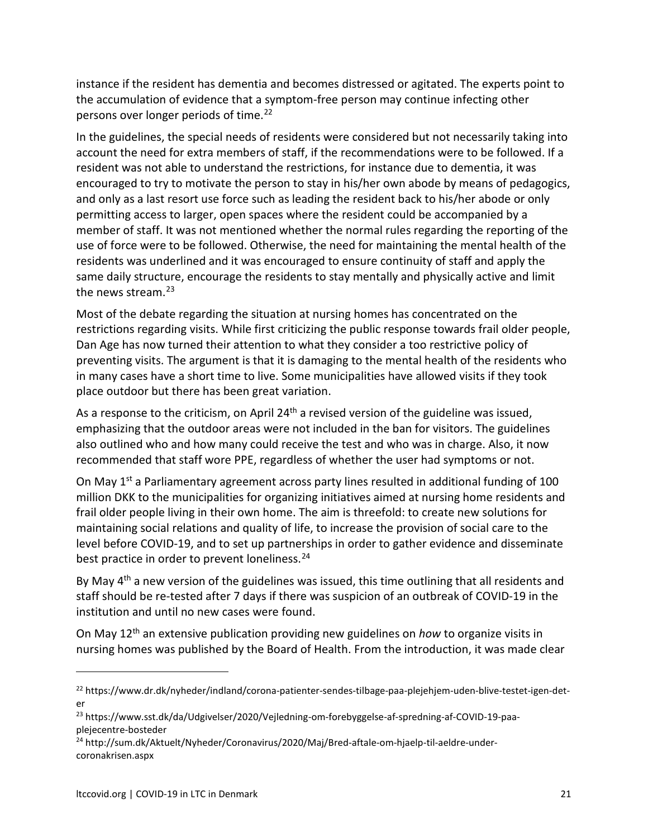instance if the resident has dementia and becomes distressed or agitated. The experts point to the accumulation of evidence that a symptom-free person may continue infecting other persons over longer periods of time[.22](#page-20-0)

In the guidelines, the special needs of residents were considered but not necessarily taking into account the need for extra members of staff, if the recommendations were to be followed. If a resident was not able to understand the restrictions, for instance due to dementia, it was encouraged to try to motivate the person to stay in his/her own abode by means of pedagogics, and only as a last resort use force such as leading the resident back to his/her abode or only permitting access to larger, open spaces where the resident could be accompanied by a member of staff. It was not mentioned whether the normal rules regarding the reporting of the use of force were to be followed. Otherwise, the need for maintaining the mental health of the residents was underlined and it was encouraged to ensure continuity of staff and apply the same daily structure, encourage the residents to stay mentally and physically active and limit the news stream.<sup>[23](#page-20-1)</sup>

Most of the debate regarding the situation at nursing homes has concentrated on the restrictions regarding visits. While first criticizing the public response towards frail older people, Dan Age has now turned their attention to what they consider a too restrictive policy of preventing visits. The argument is that it is damaging to the mental health of the residents who in many cases have a short time to live. Some municipalities have allowed visits if they took place outdoor but there has been great variation.

As a response to the criticism, on April 24<sup>th</sup> a revised version of the guideline was issued, emphasizing that the outdoor areas were not included in the ban for visitors. The guidelines also outlined who and how many could receive the test and who was in charge. Also, it now recommended that staff wore PPE, regardless of whether the user had symptoms or not.

On May  $1^{st}$  a Parliamentary agreement across party lines resulted in additional funding of 100 million DKK to the municipalities for organizing initiatives aimed at nursing home residents and frail older people living in their own home. The aim is threefold: to create new solutions for maintaining social relations and quality of life, to increase the provision of social care to the level before COVID-19, and to set up partnerships in order to gather evidence and disseminate best practice in order to prevent loneliness.<sup>[24](#page-20-2)</sup>

By May  $4<sup>th</sup>$  a new version of the guidelines was issued, this time outlining that all residents and staff should be re-tested after 7 days if there was suspicion of an outbreak of COVID-19 in the institution and until no new cases were found.

On May 12th an extensive publication providing new guidelines on *how* to organize visits in nursing homes was published by the Board of Health. From the introduction, it was made clear

<span id="page-20-0"></span><sup>22</sup> https://www.dr.dk/nyheder/indland/corona-patienter-sendes-tilbage-paa-plejehjem-uden-blive-testet-igen-deter

<span id="page-20-1"></span><sup>23</sup> https://www.sst.dk/da/Udgivelser/2020/Vejledning-om-forebyggelse-af-spredning-af-COVID-19-paaplejecentre-bosteder

<span id="page-20-2"></span><sup>24</sup> http://sum.dk/Aktuelt/Nyheder/Coronavirus/2020/Maj/Bred-aftale-om-hjaelp-til-aeldre-undercoronakrisen.aspx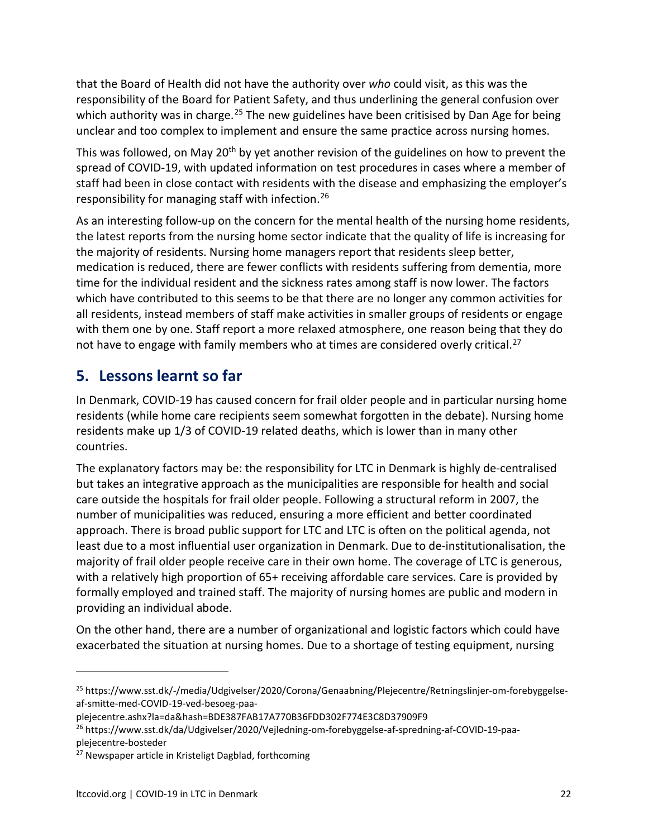that the Board of Health did not have the authority over *who* could visit, as this was the responsibility of the Board for Patient Safety, and thus underlining the general confusion over which authority was in charge.<sup>[25](#page-21-0)</sup> The new guidelines have been critisised by Dan Age for being unclear and too complex to implement and ensure the same practice across nursing homes.

This was followed, on May 20<sup>th</sup> by yet another revision of the guidelines on how to prevent the spread of COVID-19, with updated information on test procedures in cases where a member of staff had been in close contact with residents with the disease and emphasizing the employer's responsibility for managing staff with infection.[26](#page-21-1)

As an interesting follow-up on the concern for the mental health of the nursing home residents, the latest reports from the nursing home sector indicate that the quality of life is increasing for the majority of residents. Nursing home managers report that residents sleep better, medication is reduced, there are fewer conflicts with residents suffering from dementia, more time for the individual resident and the sickness rates among staff is now lower. The factors which have contributed to this seems to be that there are no longer any common activities for all residents, instead members of staff make activities in smaller groups of residents or engage with them one by one. Staff report a more relaxed atmosphere, one reason being that they do not have to engage with family members who at times are considered overly critical.<sup>[27](#page-21-2)</sup>

## **5. Lessons learnt so far**

In Denmark, COVID-19 has caused concern for frail older people and in particular nursing home residents (while home care recipients seem somewhat forgotten in the debate). Nursing home residents make up 1/3 of COVID-19 related deaths, which is lower than in many other countries.

The explanatory factors may be: the responsibility for LTC in Denmark is highly de-centralised but takes an integrative approach as the municipalities are responsible for health and social care outside the hospitals for frail older people. Following a structural reform in 2007, the number of municipalities was reduced, ensuring a more efficient and better coordinated approach. There is broad public support for LTC and LTC is often on the political agenda, not least due to a most influential user organization in Denmark. Due to de-institutionalisation, the majority of frail older people receive care in their own home. The coverage of LTC is generous, with a relatively high proportion of 65+ receiving affordable care services. Care is provided by formally employed and trained staff. The majority of nursing homes are public and modern in providing an individual abode.

On the other hand, there are a number of organizational and logistic factors which could have exacerbated the situation at nursing homes. Due to a shortage of testing equipment, nursing

<span id="page-21-0"></span><sup>&</sup>lt;sup>25</sup> https://www.sst.dk/-/media/Udgivelser/2020/Corona/Genaabning/Plejecentre/Retningslinjer-om-forebyggelseaf-smitte-med-COVID-19-ved-besoeg-paa-

plejecentre.ashx?la=da&hash=BDE387FAB17A770B36FDD302F774E3C8D37909F9

<span id="page-21-1"></span><sup>&</sup>lt;sup>26</sup> https://www.sst.dk/da/Udgivelser/2020/Vejledning-om-forebyggelse-af-spredning-af-COVID-19-paaplejecentre-bosteder

<span id="page-21-2"></span><sup>&</sup>lt;sup>27</sup> Newspaper article in Kristeligt Dagblad, forthcoming